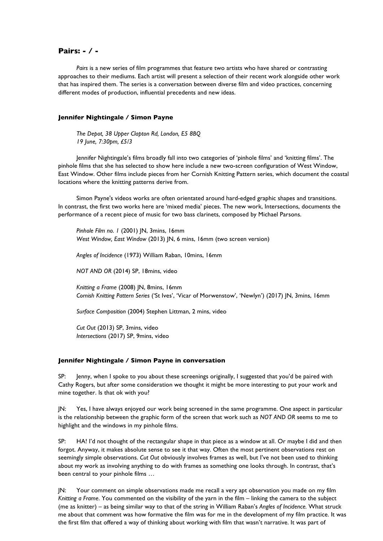## **Pairs: - / -**

*Pairs* is a new series of film programmes that feature two artists who have shared or contrasting approaches to their mediums. Each artist will present a selection of their recent work alongside other work that has inspired them. The series is a conversation between diverse film and video practices, concerning different modes of production, influential precedents and new ideas.

## **Jennifer Nightingale / Simon Payne**

*The Depot, 38 Upper Clapton Rd, London, E5 8BQ 19 June, 7:30pm, £5/3*

Jennifer Nightingale's films broadly fall into two categories of 'pinhole films' and 'knitting films'. The pinhole films that she has selected to show here include a new two-screen configuration of West Window, East Window. Other films include pieces from her Cornish Knitting Pattern series, which document the coastal locations where the knitting patterns derive from.

Simon Payne's videos works are often orientated around hard-edged graphic shapes and transitions. In contrast, the first two works here are 'mixed media' pieces. The new work, Intersections, documents the performance of a recent piece of music for two bass clarinets, composed by Michael Parsons.

*Pinhole Film no. 1* (2001) JN, 3mins, 16mm *West Window, East Window* (2013) JN, 6 mins, 16mm (two screen version)

*Angles of Incidence* (1973) William Raban, 10mins, 16mm

*NOT AND OR* (2014) SP, 18mins, video

*Knitting a Frame* (2008) JN, 8mins, 16mm *Cornish Knitting Pattern Series* ('St Ives', 'Vicar of Morwenstow', 'Newlyn') (2017) JN, 3mins, 16mm

*Surface Composition* (2004) Stephen Littman, 2 mins, video

*Cut Out* (2013) SP, 3mins, video *Intersections* (2017) SP, 9mins, video

## **Jennifer Nightingale / Simon Payne in conversation**

SP: Jenny, when I spoke to you about these screenings originally, I suggested that you'd be paired with Cathy Rogers, but after some consideration we thought it might be more interesting to put your work and mine together. Is that ok with you?

JN: Yes, I have always enjoyed our work being screened in the same programme. One aspect in particular is the relationship between the graphic form of the screen that work such as *NOT AND OR* seems to me to highlight and the windows in my pinhole films.

SP: HA! I'd not thought of the rectangular shape in that piece as a window at all. Or maybe I did and then forgot. Anyway, it makes absolute sense to see it that way. Often the most pertinent observations rest on seemingly simple observations. *Cut Out* obviously involves frames as well, but I've not been used to thinking about my work as involving anything to do with frames as something one looks through. In contrast, that's been central to your pinhole films …

JN: Your comment on simple observations made me recall a very apt observation you made on my film *Knitting a Frame*. You commented on the visibility of the yarn in the film – linking the camera to the subject (me as knitter) – as being similar way to that of the string in William Raban's *Angles of Incidence.* What struck me about that comment was how formative the film was for me in the development of my film practice. It was the first film that offered a way of thinking about working with film that wasn't narrative. It was part of